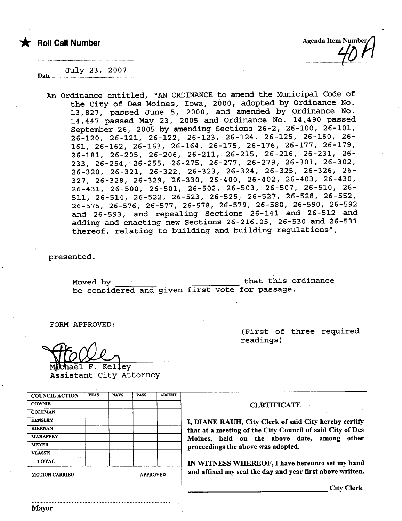

................................LlD.........

#### July 23, 2007 Date........

An Ordinance entitled, "AN ORDINANCE to amend the Municipal Code of the City of Des Moines, Iowa, 2000, adopted by Ordinance No. 13,827, passed June 5, 2000, and amended by Ordinance No. 14,447 passed May 23, 2005 and Ordinance No. 14,490 passed September 26, 2005 by amending Sections 26-2, 26-100, 26-101, 26-120, 26-121, 26-122, 26-123, 26-124, 26-125, 26-160, 26- 161, 26-162, 26-163, 26-164, 26-175, 26-176, 26-177, 26-179, 26-181, 26-205, 26-206, 26-211, 26-215, 26-216, 26-231, 26- 233, 26-254,.26-255,26-275, 26-277, 26-279, 26-301, 26-302, 26-320,26-321,26-322,26-323,26-324,26-325,26-326,26- 327, 26-328, 26-329, 26-330, 26-400, 26-402, 26-403, 26-430, 26-431, 26-500, 26-501, 26-502, 26-503, 26-507, 26-510, 26- 511, 26-514, 26-522, 26-523, 26-525, 26-527, 26-528, 26-552, 26-575, 26-576, 26-577, 26-578, 26-579, 26-580, 26-590, 26-592 and 26-593, and repealing Sections 26-141 and 26-512 and adding and enacting new Sections 26-216. OS, 26-530 and 26-531 thereof, relating to building and building regulations",

presented.

Moved by that this ordinance be considered and given first vote for passage.

,

FORM APPROVED:

(First of three required readings)

WOOL<br>Mchael F. Kelley<br>Assistant City Attorney

| <b>COUNCIL ACTION</b> | <b>YEAS</b> | <b>NAYS</b>     | <b>PASS</b> | <b>ABSENT</b> |  |
|-----------------------|-------------|-----------------|-------------|---------------|--|
| <b>COWNIE</b>         |             |                 |             |               |  |
| <b>COLEMAN</b>        |             |                 |             |               |  |
| <b>HENSLEY</b>        |             |                 |             |               |  |
| <b>KTERNAN</b>        |             |                 |             |               |  |
| <b>MAHAFFEY</b>       |             |                 |             |               |  |
| <b>MEYER</b>          |             |                 |             |               |  |
| <b>VLASSIS</b>        |             |                 |             |               |  |
| <b>TOTAL</b>          |             |                 |             |               |  |
| <b>MOTION CARRIED</b> |             | <b>APPROVED</b> |             |               |  |

..........................................................................................

#### **CERTIFICATE**

I, DIANE RAUH, City Clerk of said City hereby certify that at a meeting of the City Council of said City of Des Moines, held on the above date, among other proceedings the above was adopted.

IN WITNESS WHEREOF, I have hereunto set my hand and affixed my seal the day and year first above written.

City Clerk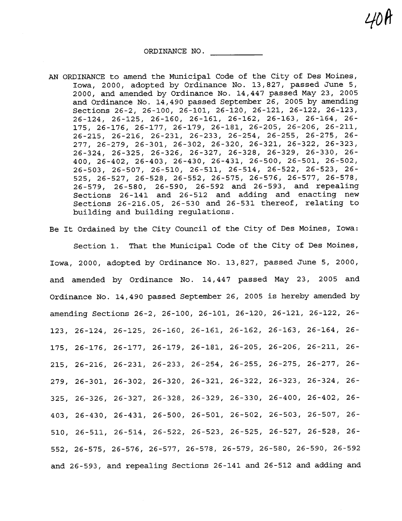ORDINANCE NO.

- AN ORDINANCE to amend the Municipal Code of the City of Des Moines, Iowa, 2000, adopted by Ordinance No. 13,827, passed June 5, 2000, and amended by Ordinance No. 14,447 passed May 23, 2005 and Ordinance No.  $14,490$  passed September 26, 2005 by amending Sections 26-2, 26-100, 26-101, 26-120, 26-121, 26-122, 26-123, 26-124, 26-125, 26-160, 26-161, 26-162, 26-163, 26-164, 26- 175, 26-176, 26-177, 26-179, 26-181, 26-205, 26-206, 26-211, 26-215, 26-216, 26-231, 26-233, 26-254, 26-255, 26-275, 26- 277, 26-279, 26-301, 26-302, 26-320, 26-321, 26-322, 26-323, 26-324, 26-325, 26-326, 26-327, 26-328, 26-329, 26-330, 26- 400, 26-402, 26-403, 26-430, 26-431, 26-500, 26-501, 26-502, 26-503, 26-507, 26-510, 26-511, 26-514, 26-522, 26-523, 26- 525, 26-527, 26-528, 26-552, 26-575, 26-576, 26-577, 26-578, 26-579, 26-580, 26-590,26-592 and 26-593, and repealing Sections 26-141 and 26-512 and adding and enacting new Sections 26-216.05, 26-530 and 26-531 thereof, relating to building and building regulations.
- Be It Ordained by the City Council of the City of Des Moines, Iowa:

Section 1. That the Municipal Code of the City of Des Moines, Iowa, 2000, adopted by Ordinance No. 13,827, passed June 5, 2000, and amended by Ordinance No. 14,447 passed May 23, 2005 and Ordinance No. 14,490 passed September 26, 2005 is hereby amended by amending Sections 26-2, 26-100, 26-101, 26-120, 26-121, 26-122, 26- 123, 26-124, 26-125, 26-160, 26-161, 26-162, 26-163, 26-164, 26- 175, 26-176, 26-177, 26-179, 26-181, 26-205, 26-206, 26-211, 26- 215, 26-216, 26-231, 26-233, 26-254, 26-255, 26-275, 26-277, 26- 279, 26-301, 26-302, 26-320, 26-321, 26-322, 26-323, 26-324, 26- 325, 26-326, 26-327, 26-328, 26-329, 26-330, 26-400, 26-402, 26- 403, 26-430, 26-431, 26-500, 26-501, 26-502, 26-503, 26-507, 26- 510, 26-511, 26-514, 26-522, 26-523, 26-525, 26-527, 26-528, 26- 552, 26-575, 26-576, 26-577, 26-578, 26-579, 26-580, 26-590, 26-592 and 26 - 593 , and repealing Sections 26-141 and 26-512 and adding and

 $700$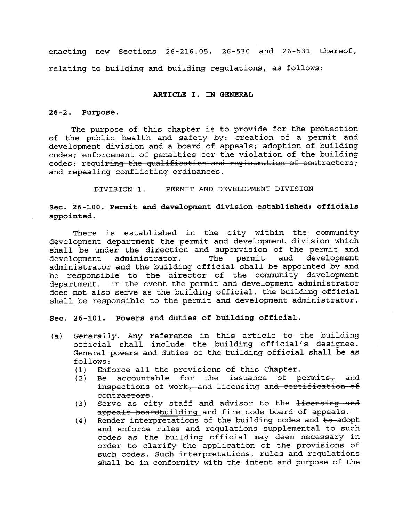enacting new Sections 26-216.05, 26-530 and 26-531 thereof, relating to building and building regulations, as follows:

## ARTICLE I. IN GENERAL

## 26-2. Purpose.

The purpose of this chapter is to provide for the protection of the public health and safety by: creation of a permit and development division and a board of appeals; adoption of building codes; enforcement of penalties for the violation of the building codes; requiring the qualification and registration of contractors; and repealing conflicting ordinances.

DIVISION 1. PERMIT AND DEVELOPMENT DIVISION

Sec. 26-100. Permit and development division established; officials appointed.

There is established in the city within the community development department the permit and development division which shall be under the direction and supervision of the permit and<br>development administrator. The permit and development development administrator. administrator and the building official shall be appointed by and be responsible to the director of the community development department. In the event the permit and development administrator does not also serve as the building official, the building official shall be responsible to the permit and development administrator.

Sec. 26-101. Powers and duties of building official.

- (a) Generally. Any reference in this article to the building official shall include the building official's designee. General powers and duties of the building official shall be as follows:<br>(1) Enf
	-
	- (1) Enforce all the provisions of this Chapter.<br>(2) Be accountable for the issuance of p Be accountable for the issuance of permits<sub>7</sub> and inspections of work, and licensing and certification of contractors.
	- (3) Serve as city staff and advisor to the licensing and appeals boardbuilding and fire code board of appeals.
	- $(4)$  Render interpretations of the building codes and  $\pm$ o-adopt and enforce rules and regulations supplemental to such codes as the building official may deem necessary in order to clarify the application of the provisions of such codes. Such interpretations, rules and regulations shall be in conformity with the intent and purpose of the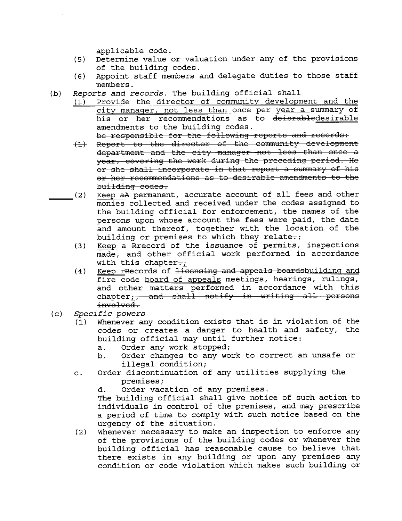applicable code.

- (5) Determine value or valuation under any of the provisions of the building codes.
- (6) Appoint staff members and delegate duties to those staff members.
- (b) Reports and records. The building official shall
	- (1) Provide the director of community development and the city manager, not less than once per year a summary of his or her recommendations as to deisrabledesirable amendments to the building codes. be responsible for the following reports and records:
	- -f Rcport to thc dircctor of thc community dcvclopmcnt
	- department and the city manager not less than once a year, covering the work during the preceding period. He or she shall incorporate in that report a summary of his or her recommendations as to desirable amendments to the building codco.
- (2) Keep aA permanent, accurate account of all fees and other monies collected and received under the codes assigned to the building official for enforcement, the names of the persons upon whose account the fees were paid, the date and amount thereof, together with the location of the building or premises to which they relate- $\frac{1}{L}$ 
	- $(3)$  Keep a Rrecord of the issuance of permits, inspections made, and other official work performed in accordance with this chapter $-j$
	- $(4)$  Keep rRecords of  $1$  censing and appeals boards building and fire code board of appeals meetings, hearings, rulings, and other matters performed in accordance with this chapter and shall notify in writing all persons involved.
- 
- (c) Specific powers<br>(1) Whenever any condition exists that is in violation of the codes or creates a danger to health and safety, the building official may until further notice:
	- a. Order any work stopped;
	- b. Order changes to any work to correct an unsafe or illegal condition;
	- c. Order discontinuation of any utilities supplying the premises;
		- d. Order vacation of any premises.

The building official shall give notice of such action to individuals in control of the premises, and may prescribe a period of time to comply with such notice based on the urgency of the situation.

(2) Whenever necessary to make an inspection to enforce any of the provisions of the building codes or whenever the building official has reasonable cause to believe that there exists in any building or upon any premises any condition or code violation which makes such building or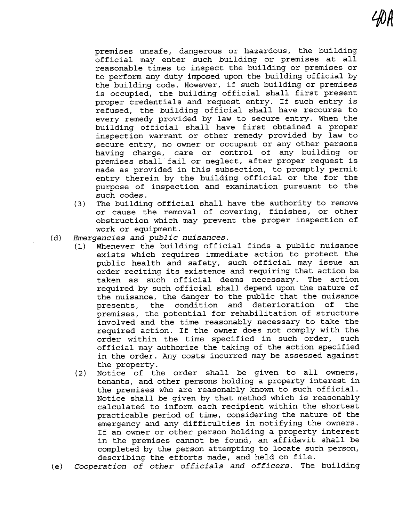premises unsafe, dangerous or hazardous, the building official may enter such building or premises at all reasonable times to inspect the building or premises or to perform any duty imposed upon the building official by the building code. However, if such building or premises is occupied, the building official shall first present proper credentials and request entry. If such entry is refused, the building official shall have recourse to every remedy provided by law to secure entry. When the building official shall have first obtained a proper inspection warrant or other remedy provided by law to secure entry, no owner or occupant or any other persons having charge, care or control of any building or premises shall fail or neglect, after proper request is made as provided in this subsection, to promptly permit entry therein by the building official or the for the purpose of inspection and examination pursuant to the such codes.

- (3) The building official shall have the authority to remove or cause the removal of covering, finishes, or other obstruction which may prevent the proper inspection of work or equipment.
- (d) Emergencies and public nuisances.
	- (1) Whenever the building official finds a public nuisance exists which requires immediate action to protect the public health and safety, such official may issue an order reciting its existence and requiring that action be taken as such official deems necessary. The action required by such official shall depend upon the nature of the nuisance, the danger to the public that the nuisance presents, the condition and deterioration of the premises, the potential for rehabilitation of structure involved and the time reasonably necessary to take the required action. If the owner does not comply with the order within the time specified in such order, such official may authorize the taking of the action specified in the order. Any costs incurred may be assessed against the property.
	- (2) Notice of the order shall be given to all owners, tenants, and other persons holding a property interest in the premises who are reasonably known to such official. Notice shall be given by that method which is reasonably calculated to inform each recipient within the shortest practicable period of time, considering the nature of the emergency and any difficulties in notifying the owners. If an owner or other person holding a property interest in the premises cannot be found, an affidavit shall be completed by the person attempting to locate such person, describing the efforts made, and held on file.
- (e) Cooperation of other officials and officers. The building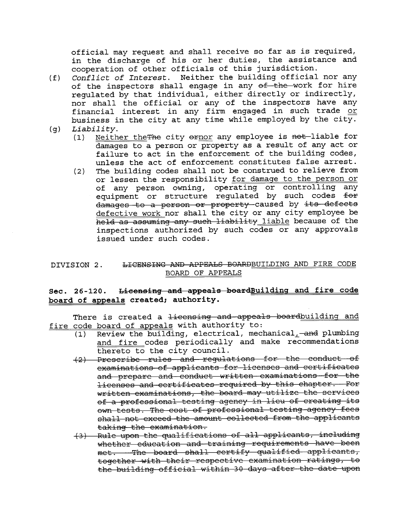official may request and shall receive so far as is required, in the discharge of his or her duties, the assistance and cooperation of other officials of this jurisdiction.

- (f) Conflict of Interest. Neither the building official nor any of the inspectors shall engage in any of the work for hire regulated by that individual, either directly or indirectly, nor shall the official or any of the inspectors have any financial interest in any firm engaged in such trade or business in the city at any time while employed by the city.<br>(g) Liability.<br>(1) Neither the The city ernor any employee is not liable for
- - Neither theThe city ernor any employee is not-liable for damages to a person or property as a result of any act or failure to act in the enforcement of the building codes, unless the act of enforcement constitutes false arrest.
	- (2) The building codes shall not be construed to relieve from or lessen the responsibility for damage to the person or of any person owning, operating or controlling any equipment or structure regulated by such codes  $f$ or damages to a person or property caused by its defects defective work nor shall the city or any city employee be held as assuming any such liability liable because of the inspections authorized by such codes or any approvals issued under such codes.

## DIVISION 2. <del>LICENSING AND APPEALS BOARD</del>BUILDING AND FIRE CODE BOARD OF APPEALS

# Sec. 26-120. Licensing and appeals boardBuilding and fire code board of appeals created; authority.

There is created a <del>licensing and appeals board</del>building and fire code board of appeals with authority to:

- $(1)$  Review the building, electrical, mechanical, -and plumbing and fire codes periodically and make recommendations thereto to the city council.
- (2) Prescribe rules and regulations for the conduct of examinations of applicants for licenses and certificates and prepare and conduct written examinations for the licenses and certificates required by this chapter. For written examinations, the board may utilize the services of a professional testing agency in lieu of creating its own tests. The cost of professional testing agency fees shall not exceed the amount collected from the applicants
- taking the examination.<br>(3) Rule upon the qualifications of all applicants, including whether education and training requirements have been<br>met. —The board shall certify qualified applicants, together with their respective examination ratings, to the building official within 30 days after the date upon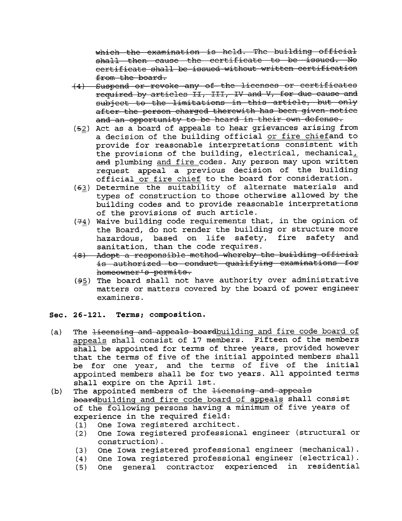which the examination is held. The building official shall then cause the certificate to be issued. No certificate shall be issued without written certification from the board.

- (4) Suspend or revoke any of the licenses or certificates required by articles II, III, IV and V, for due cause and subject to the limitations in this article, but only after the person charged therewith has been given notice and an opportunity to be heard in their own defense.
- (52) Act as a board of appeals to hear grievances arising from a decision of the building official or fire chiefand to provide for reasonable interpretations consistent with the provisions of the building, electrical, mechanical, and plumbing and fire codes. Any person may upon written request appeal a previous decision of the building official or fire chief to the board for consideration.
- (63) Determine the suitability of alternate materials and types of construction to those otherwise allowed by the building codes and to provide reasonable interpretations of the provisions of such article.
- $(74)$  Waive building code requirements that, in the opinion of the Board, do not render the building or structure more<br>hazardous, based on life safety, fire safety and hazardous, based on life sanitation, than the code requires.
- (8) Adopt a responsible method whereby the building official is authorized to conduct qualifying examinations for homeowner's permits.
- $(95)$  The board shall not have authority over administrative matters or matters covered by the board of power engineer examiners.

## Sec. 26-121. Terms; composition.

- (a) The licensing and appeals boardbuilding and fire code board of appeals shall consist of 17 members. Fifteen of the members shall be appointed for terms of three years, provided however<br>that the terms of five of the initial appointed members shall be for one year, and the terms of five of the initial appointed members shall be for two years. All appointed terms shall expire on the April 1st.
- (b) The appointed members of the  $\pm i$  censing and appeals boardbuilding and fire code board of appeals shall consist of the following persons having a minimum of five years of experience in the required field:
	- (1) One Iowa registered architect.
	- One Iowa registered professional engineer (structural or construction).
	- (3) One Iowa registered professional engineer (mechanical).<br>(4) One Iowa registered professional engineer (electrical).
	-
	- (4) One Iowa registered professional engineer (electrical). (5) One general contractor experienced in residential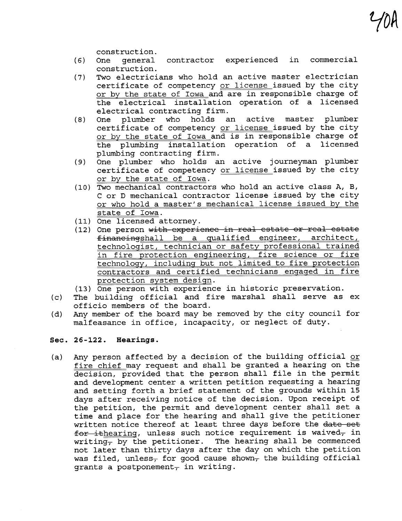construction.

(6) One general contractor experienced in commercial construction.

 $\int$   $U$ ( $V$ 

- Two electricians who hold an active master electrician certificate of competency or license issued by the city or by the state of Iowa and are in responsible charge of the electrical installation operation of a licensed electrical contracting firm.<br>One plumber who holds a
- (8) One plumber who holds an active master plumber certificate of competency or license issued by the city or by the state of Iowa and is in responsible charge of the plumbing installation operation of a licensed plumbing contracting firm.
- (9) One plumber who holds an active journeyman plumber certificate of competency or license issued by the city or by the state of Iowa.
- (10) Two mechanical contractors who hold an active class A, B, C or D mechanical contractor license issued by the city or who hold a master's mechanical license issued by the state of Iowa.
- 
- (11) One licensed attorney.<br>(12) One person <del>with experience in real estate or real estate</del> financingshall be a qualified engineer, architect, technologist, technician or safety professional trained in fire protection engineering, fire science or fire technology, including but not limited to fire protection contractors and certified technicians engaged in fire protection system design.
- (13) One person with experience in historic preservation.
- (c) The building official and fire marshal shall serve as ex officio members of the board.
- (d) Any member of the board may be removed by the city council for malfeasance in office, incapacity, or neglect of duty.

## Sec. 26-122. Hearings.

(a) Any person affected by a decision of the building official or fire chief may request and shall be granted a hearing on the decision, provided that the person shall file in the permit and development center a written petition requesting a hearing and setting forth a brief statement of the grounds within 15 days after receiving notice of the decision. Upon receipt of the petition, the permit and development center shall set a time and place for the hearing and shall give the petitioner written notice thereof at least three days before the date set for ithearing, unless such notice requirement is waived, in writing<sub>7</sub> by the petitioner. The hearing shall be commenced not later than thirty days after the day on which the petition was filed, unless<sub>7</sub> for good cause shown<sub>7</sub> the building official grants a postponement<sub> $\tau$ </sub> in writing.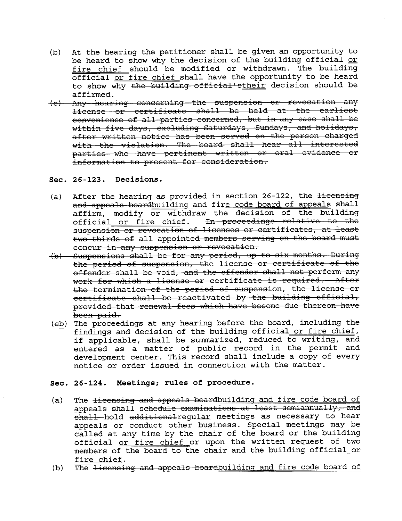- (b) At the hearing the petitioner shall be given an opportunity to be heard to show why the decision of the building official or fire chief should be modified or withdrawn. The building official or fire chief shall have the opportunity to be heard to show why the building official'stheir decision should be
- affirmed.<br>(e) Any hearing concerning the suspension or revocation any license or certificate shall be held at the earliest convenience of all parties concerned, but in any case shall be within five days, excluding Saturdays, Sundays, and holidays, after written notice has been served on the person charged<br>with the violation. The board shall hear all interested<br>parties who have pertinent written or oral evidence or  $intermutation$  to present for consideration.
- Sec. 26-123. Decisions.
- (a) After the hearing as provided in section  $26-122$ , the  $\frac{1}{1}$  eensing and appeals boardbuilding and fire code board of appeals shall affirm, modify or withdraw the decision of the building official or fire chief. In proceedings relative to the suspension or revocation of licenses or certificates, at least two thirds of all appointed members serving on the board must concur in any suspension or revocation.
- (b) Suspensions shall be for any period, up to six months. During the period of suspension, the license or certificate of the<br>offender shall be void, and the offender shall not perform any work for which a license or certificate is required. After the termination of the period of suspension, the license or  $certification$  ohall be reactivated by the building official, provided that renewal fees which have become due thereon have been paid.
- $(e_2)$  The proceedings at any hearing before the board, including the findings and decision of the building official or fire chief, if applicable, shall be summarized, reduced to writing, and entered as a matter of public record in the permit and development center. This record shall include a copy of every notice or order issued in connection with the matter.

## Sec. 26 -124. Meetings; rules of procedure.

- (a) The <del>licensing and appeals board</del>building and fire code board of appeals shall schedule examinations at least semiannually, and  $\overline{\text{shall}}$ -hold additionalregular meetings as necessary to hear appeals or conduct other business. Special meetings may be called at any time by the chair of the board or the building official or fire chief or upon the written request of two members of the board to the chair and the building official or fire chief.
- (b) The licensing and appeals boardbuilding and fire code board of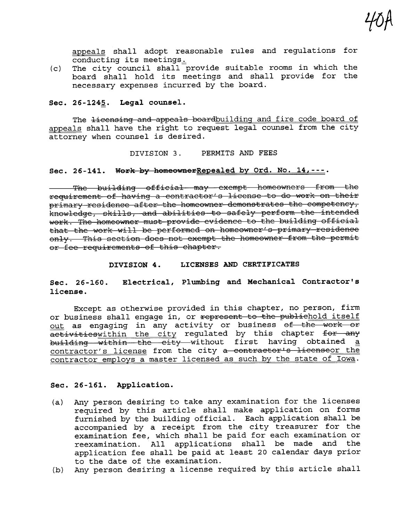appeals shall adopt reasonable rules and regulations for  $\overline{\text{conducting}}$  its meetings.

40f

 $(c)$ The city council shall provide suitable rooms in which the board shall hold its meetings and shall provide for the necessary expenses incurred by the board.

## Sec.  $26 - 1245$ . Legal counsel.

The <del>licensing and appeals board</del>building and fire code board of appeals shall have the right to request legal counsel from the city attorney when counsel is desired.

DIVISION 3. PERMITS AND FEES

## Sec. 26-141. Work by homeownerRepealed by Ord. No.  $14, - - -$ .

The building official may exempt homeowners from the requirement of having a contractor's license to do work on their primary residence after the homeowner demonstrates the competency, knowledge, skills, and abilities to safely perform the intended work. The homeowner must provide evidence to the building official that the work will be performed on homeowner's primary residence only. This section does not exempt the homeowner from the permit or fee requirements of this chapter.

## DIVISION 4. LICENSES AND CERTIFICATES

Sec. 26-160. license. Electrical, Plumbing and Mechanical Contractor's

Except as otherwise provided in this chapter, no person, firm<br>or business shall engage in, or <del>represent to the publichold itself</del> out as engaging in any activity or business <del>of the work or</del><br>activitieswithin the city regulated by this chapter <del>for any</del> building within the city without first having obtained a contractor's license from the city a contractor's licenseor the contractor employs a master licensed as such by the state of Iowa.

## Sec. 26-161. Application.

- (a) Any person desiring to take any examination for the licenses required by this article shall make application on forms furnished by the building official. Each application shall be accompanied by a receipt from the city treasurer for the examination fee, which shall be paid for each examination or reexamination. All applications shall be made and the application fee shall be paid at least 20 calendar days prior to the date of the examination.
- (b) Any person desiring a license required by this article shall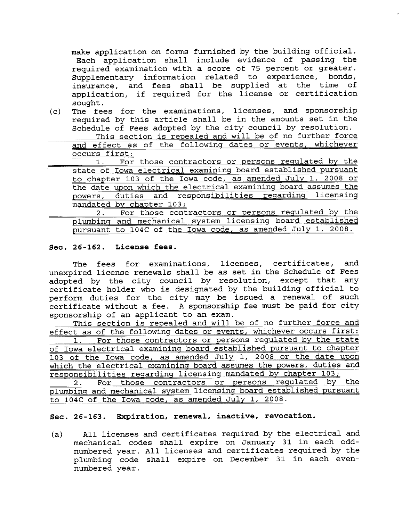make application on forms furnished by the building official. Each application shall include evidence of passing the required examination with a score of 75 percent or greater. Supplementary information related to experience, bonds,<br>insurance, and fees shall be supplied at the time of application, if required for the license or certification sought.

(c) The fees for the examinations, licenses, and sponsorship required by this article shall be in the amounts set in the Schedule of Fees adopted by the city council by resolution. This section is repealed and will be of no further force

and effect as of the following dates or events, whichever occurs first:

1. For those contractors or persons regulated by the state of Iowa electrical examining board established pursuant to chapter 103 of the Iowa code, as amended July 1, 2008 or<br>the date upon which the electrical examining board assumes the powers, duties and responsibilities regarding licensing mandated by chapter 103;

2. For those contractors or persons regulated by the plumbing and mechanical system licensing board established pursuant to 104C of the Iowa code, as amended July 1, 2008.

## Sec. 26-162. License fees.

The fees for examinations, licenses, certificates, and unexpired license renewals shall be as set in the Schedule of Fees adopted by the city council by resolution, except that any certificate holder who is designated by the building official to perform duties for the city may be issued a renewal of such certificate without a fee. A sponsorship fee must be paid for city sponsorship of an applicant to an exam.

This section is repealed and will be of no further force and effect as of the following dates or events, whichever occurs first: 1. For those contractors or persons regulated by the state of Iowa electrical examining board established pursuant to chapter 103 of the Iowa code, as amended July 1, 2008 or the date upon which the electrical examining board assumes the powers, duties and responsibilities regarding licensing mandated by chapter 103; 2. For those contractors or persons regulated by the

plumbing and mechanical system licensing board established pursuant to 104C of the Iowa code, as amended July 1, 2008.

## Sec. 26-163. Expiration, renewal, inactive, revocation.

(a) All licenses and certificates required by the electrical and mechanical codes shall expire on January 31 in each oddnumbered year. All licenses and certificates required by the plumbing code shall expire on December 31 in each evennumbered year.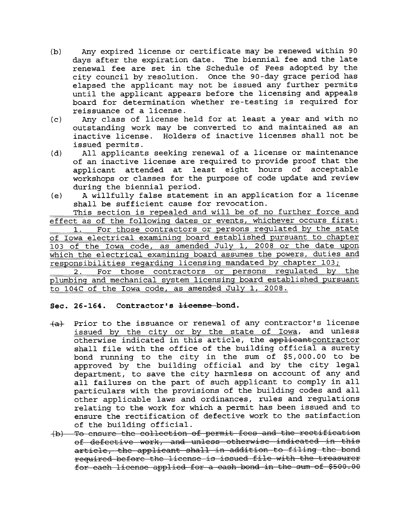- (b) Any expired license or certificate may be renewed within 90 days after the expiration date. The biennial fee and the late renewal fee are set in the Schedule of Fees adopted by the city council by resolution. Once the 90-day grace period has elapsed the applicant may not be issued any further permits until the applicant appears before the licensing and appeals board for determination whether re-testing is required for reissuance of a license.
- (c) Any class of license held for at least a year and with no outstanding work may be converted to and maintained as an inactive license. Holders of inactive licenses shall not be issued permits.
- (d) All applicants seeking renewal of a license or maintenance of an inactive license are required to provide proof that the applicant attended at least eight hours of acceptable workshops or classes for the purpose of code update and review during the biennial period.
- (e) A willfully false statement in an application for a license shall be sufficient cause for revocation.

This section is repealed and will be of no further force and effect as of the following dates or events, whichever occurs first: 1. For those contractors or persons regulated by the state of Iowa electrical examining board established pursuant to chapter 103 of the Iowa code, as amended July 1, 2008 or the date upon which the electrical examining board assumes the powers, duties and responsibilities regarding licensing mandated by chapter 103;

2. For those contractors or persons regulated by the plumbing and mechanical system licensina board established pursuant to 104C of the Iowa code, as amended July 1, 2008.

## Sec. 26-164. Contractor's <del>license</del>-bond.

- $+a$  Prior to the issuance or renewal of any contractor's license issued by the city or by the state of Iowa, and unless otherwise indicated in this article, the applicantcontractor shall file with the office of the building official a surety bond running to the city in the sum of \$5,000.00 to be approved by the building official and by the city legal department, to save the city harmless on account of any and all failures on the part of such applicant to comply in all particulars with the provisions of the building codes and all other applicable laws and ordinances, rules and regulations relating to the work for which a permit has been issued and to ensure the rectification of defective work to the satisfaction
- of the building official.<br>(b) To ensure the collection of permit fees and the rectification of defective work, and unless otherwise indicated in this article, the applicant shall in addition to filing the bond required before the license is issued file with the treasurer for each license applied for a cash bond in the sum of \$500.00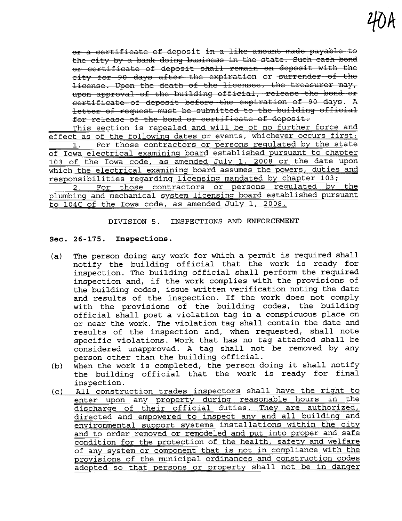or a certificate of deposit in a like amount made payable to the city by a bank doing business in the state. Such cash bond or certificate of deposit shall remain on deposit with the city for 90 days after the expiration or surrender of the license. Upon the death of the licensee, the treasurer may, upon approval of the building official, release the bond or ccrtificate of deposit before the expiration of 90 days. A letter of request must be submitted to the building official for release of the bond or certificate of deposit.

This section is repealed and will be of no further force and effect as of the following dates or events, whichever occurs first: 1. For those contractors or persons regulated by the state of Iowa electrical examining board established pursuant to chapter 103 of the Iowa code, as amended July 1, 2008 or the date upon which the electrical examining board assumes the powers, duties and responsibilities regarding licensing mandated by chapter 103;

2. For those contractors or persons regulated by the plumbing and mechanical system licensing board established pursuant to 104C of the Iowa code, as amended July 1, 2008.

## DIVISION 5. INSPECTIONS AND ENFORCEMENT

## Sec. 26-175. Inspections.

- (a) The person doing any work for which a permit is required shall notify the building official that the work is ready for inspection. The building official shall perform the required inspection and, if the work complies with the provisions of the building codes, issue written verification noting the date and results of the inspection. If the work does not comply with the provisions of the building codes, the building official shall post a violation tag in a conspicuous place on or near the work. The violation tag shall contain the date and results of the inspection and, when requested, shall note specific violations. Work that has no tag attached shall be considered unapproved. A tag shall not be removed by any
- person other than the building official.<br>When the work is completed, the person doing it shall notify (b) When the work is completed, the person doing it shall notify the building official that the work is ready for final inspection.
- (c) All construction trades inspectors shall have the right to enter upon any property during reasonable hours in the discharge of their official duties. They are authorized, directed and empowered to inspect any and all building and environmental support systems installations within the city and to order removed or remodeled and put into proper and safe condition for the protection of the health, safety and welfare of any system or component that is not in compliance with the provisions of the municipal ordinances and construction codes adopted so that persons or property shall not be in danger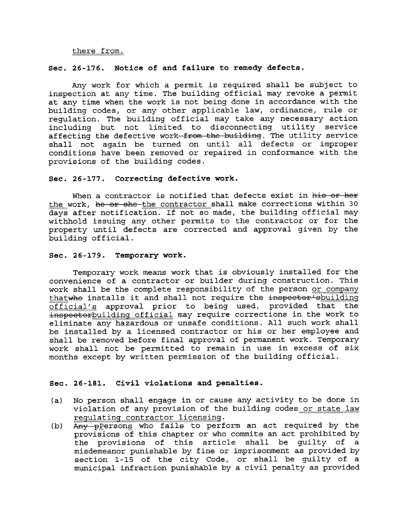## there from.

## Sec. 26-176. Notice of and failure to remedy defects.

Any work for which a permit is required shall be subject to inspection at any time. The building official may revoke a permit<br>at any time when the work is not being done in accordance with the building codes, or any other applicable law, ordinance, rule or regulation. The building official may take any necessary action including but not limited to disconnecting utility service affecting the defective work from the building. The utility service shall not again be turned on until all defects or improper conditions have been removed or repaired in conformance with the provisions of the building codes.

#### Sec. 26-177. Correcting defective work.

When a contractor is notified that defects exist in his or her the work, he or she the contractor shall make corrections within 30 days after notification. If not so made, the building official may withhold issuing any other permits to the contractor or for the property until defects are corrected and approval given by the building official.

#### Sec. 26-179. Temporary work.

Temporary work means work that is obviously installed for the convenience of a contractor or builder during construction. This work shall be the complete responsibility of the person or company thatwhe installs it and shall not require the inspector shuilding official's approval prior to being used, provided that the inspectorbuilding official may require corrections in the work to eliminate any hazardous or unsafe conditions. All such work shall be installed by a licensed contractor or his or her employee and shall be removed before final approval of permanent work. Temporary work shall not be permitted to remain in use in excess of six months except by written permission of the building official.

## Sec. 26-181. Civil violations and penalties.

- (a) No person shall engage in or cause any activity to be done in violation of any provision of the building codes or state law regulating contractor licensing.
- (b) Any pPersons who fails to perform an act required by the provisions of this chapter or who commits an act prohibited by the provisions of this article shall be guilty of a misdemeanor punishable by fine or imprisonment as provided by section 1-15 of the city Code, or shall be guilty of a municipal infraction punishable by a civil penalty as provided